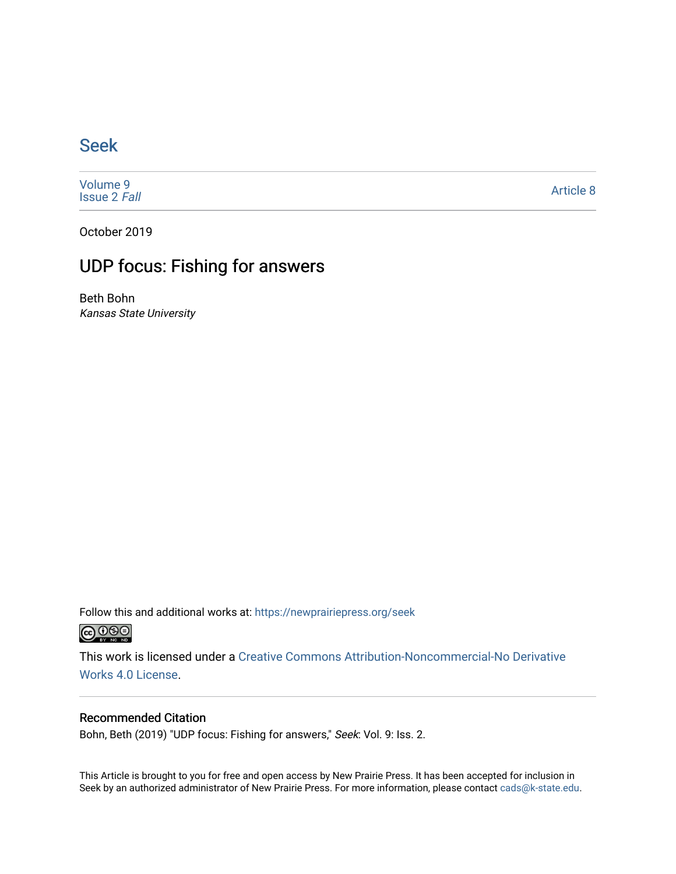## [Seek](https://newprairiepress.org/seek)

[Volume 9](https://newprairiepress.org/seek/vol9) [Issue 2](https://newprairiepress.org/seek/vol9/iss2) Fall

[Article 8](https://newprairiepress.org/seek/vol9/iss2/8) 

October 2019

## UDP focus: Fishing for answers

Beth Bohn Kansas State University

Follow this and additional works at: [https://newprairiepress.org/seek](https://newprairiepress.org/seek?utm_source=newprairiepress.org%2Fseek%2Fvol9%2Fiss2%2F8&utm_medium=PDF&utm_campaign=PDFCoverPages)



This work is licensed under a [Creative Commons Attribution-Noncommercial-No Derivative](https://creativecommons.org/licenses/by-nc-nd/4.0/)  [Works 4.0 License](https://creativecommons.org/licenses/by-nc-nd/4.0/).

## Recommended Citation

Bohn, Beth (2019) "UDP focus: Fishing for answers," Seek: Vol. 9: Iss. 2.

This Article is brought to you for free and open access by New Prairie Press. It has been accepted for inclusion in Seek by an authorized administrator of New Prairie Press. For more information, please contact [cads@k-state.edu](mailto:cads@k-state.edu).